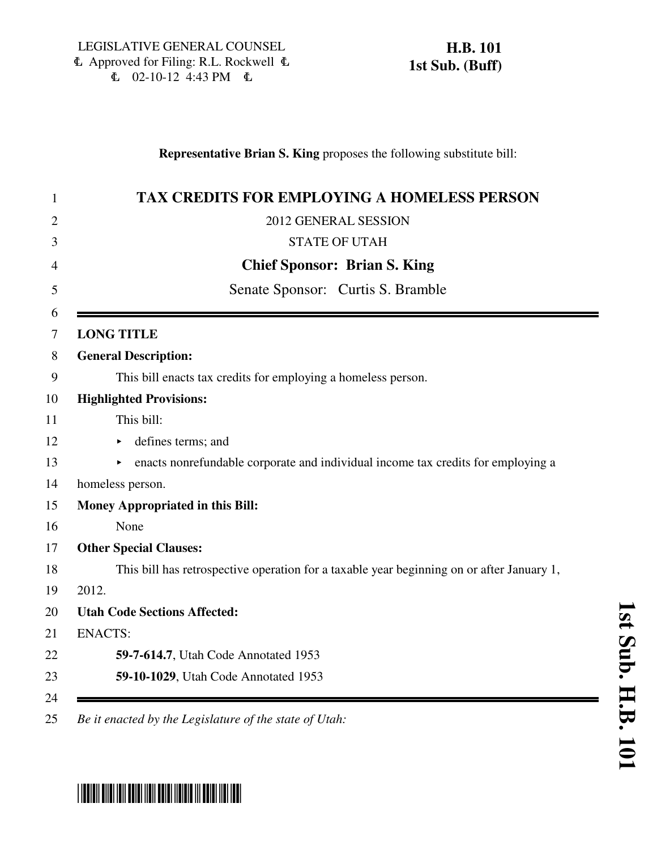#### **Representative Brian S. King** proposes the following substitute bill:

| <b>TAX CREDITS FOR EMPLOYING A HOMELESS PERSON</b>                                        |
|-------------------------------------------------------------------------------------------|
| 2012 GENERAL SESSION                                                                      |
| <b>STATE OF UTAH</b>                                                                      |
| <b>Chief Sponsor: Brian S. King</b>                                                       |
| Senate Sponsor: Curtis S. Bramble                                                         |
| <b>LONG TITLE</b>                                                                         |
| <b>General Description:</b>                                                               |
| This bill enacts tax credits for employing a homeless person.                             |
| <b>Highlighted Provisions:</b>                                                            |
| This bill:                                                                                |
| defines terms; and                                                                        |
| enacts nonrefundable corporate and individual income tax credits for employing a          |
| homeless person.                                                                          |
| <b>Money Appropriated in this Bill:</b>                                                   |
| None                                                                                      |
| <b>Other Special Clauses:</b>                                                             |
| This bill has retrospective operation for a taxable year beginning on or after January 1, |
| 2012.                                                                                     |
| <b>Utah Code Sections Affected:</b>                                                       |
| <b>ENACTS:</b>                                                                            |
| 59-7-614.7, Utah Code Annotated 1953                                                      |
| 59-10-1029, Utah Code Annotated 1953                                                      |

# \*HB0101S01\*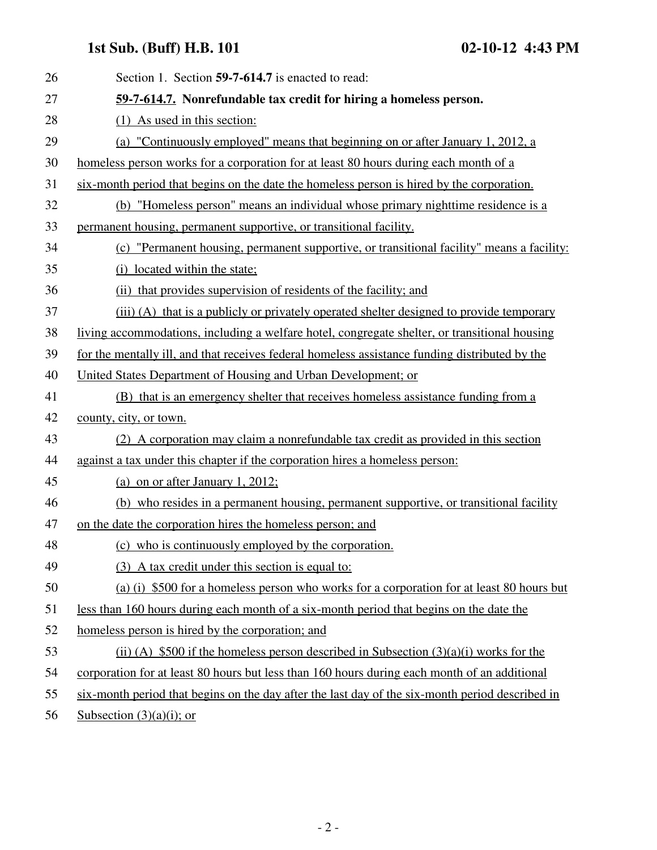## **1st Sub. (Buff) H.B. 101 02-10-12 4:43 PM**

| 26 | Section 1. Section 59-7-614.7 is enacted to read:                                               |
|----|-------------------------------------------------------------------------------------------------|
| 27 | 59-7-614.7. Nonrefundable tax credit for hiring a homeless person.                              |
| 28 | (1) As used in this section:                                                                    |
| 29 | (a) "Continuously employed" means that beginning on or after January 1, 2012, a                 |
| 30 | homeless person works for a corporation for at least 80 hours during each month of a            |
| 31 | six-month period that begins on the date the homeless person is hired by the corporation.       |
| 32 | (b) "Homeless person" means an individual whose primary nighttime residence is a                |
| 33 | permanent housing, permanent supportive, or transitional facility.                              |
| 34 | (c) "Permanent housing, permanent supportive, or transitional facility" means a facility:       |
| 35 | (i) located within the state;                                                                   |
| 36 | (ii) that provides supervision of residents of the facility; and                                |
| 37 | (iii) (A) that is a publicly or privately operated shelter designed to provide temporary        |
| 38 | living accommodations, including a welfare hotel, congregate shelter, or transitional housing   |
| 39 | for the mentally ill, and that receives federal homeless assistance funding distributed by the  |
| 40 | United States Department of Housing and Urban Development; or                                   |
| 41 | (B) that is an emergency shelter that receives homeless assistance funding from a               |
| 42 | county, city, or town.                                                                          |
| 43 | (2) A corporation may claim a nonrefundable tax credit as provided in this section              |
| 44 | against a tax under this chapter if the corporation hires a homeless person:                    |
| 45 | (a) on or after January 1, 2012;                                                                |
| 46 | (b) who resides in a permanent housing, permanent supportive, or transitional facility          |
| 47 | on the date the corporation hires the homeless person; and                                      |
| 48 | (c) who is continuously employed by the corporation.                                            |
| 49 | (3) A tax credit under this section is equal to:                                                |
| 50 | (a) (i) \$500 for a homeless person who works for a corporation for at least 80 hours but       |
| 51 | less than 160 hours during each month of a six-month period that begins on the date the         |
| 52 | homeless person is hired by the corporation; and                                                |
| 53 | (ii) (A) \$500 if the homeless person described in Subsection $(3)(a)(i)$ works for the         |
| 54 | corporation for at least 80 hours but less than 160 hours during each month of an additional    |
| 55 | six-month period that begins on the day after the last day of the six-month period described in |
|    |                                                                                                 |

56 Subsection  $(3)(a)(i)$ ; or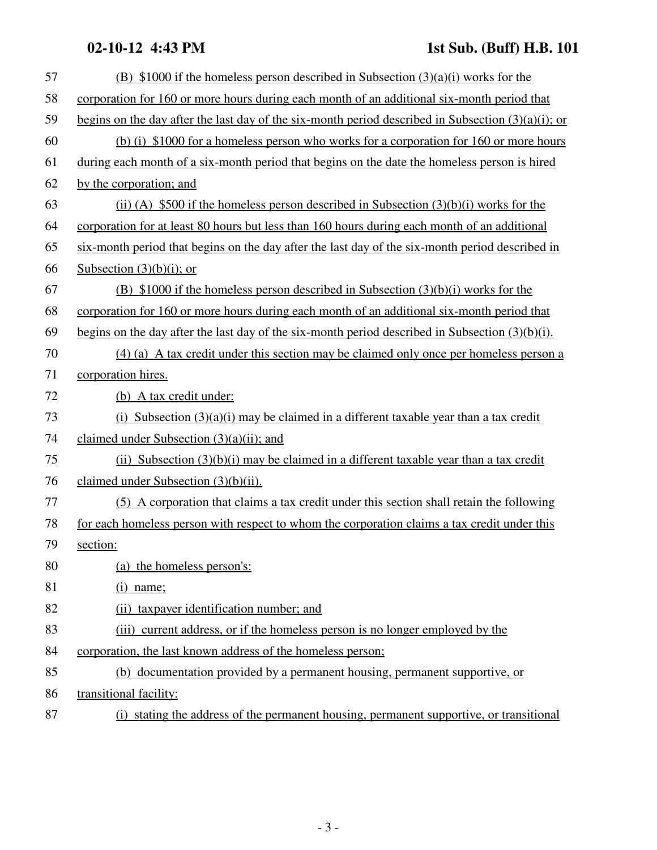### **02-10-12 4:43 PM 1st Sub. (Buff) H.B. 101**

| 57 | (B) \$1000 if the homeless person described in Subsection $(3)(a)(i)$ works for the                   |
|----|-------------------------------------------------------------------------------------------------------|
| 58 | corporation for 160 or more hours during each month of an additional six-month period that            |
| 59 | begins on the day after the last day of the six-month period described in Subsection $(3)(a)(i)$ ; or |
| 60 | (b) (i) \$1000 for a homeless person who works for a corporation for 160 or more hours                |
| 61 | during each month of a six-month period that begins on the date the homeless person is hired          |
| 62 | by the corporation; and                                                                               |
| 63 | (ii) (A) \$500 if the homeless person described in Subsection $(3)(b)(i)$ works for the               |
| 64 | corporation for at least 80 hours but less than 160 hours during each month of an additional          |
| 65 | six-month period that begins on the day after the last day of the six-month period described in       |
| 66 | Subsection $(3)(b)(i)$ ; or                                                                           |
| 67 | (B) $$1000$ if the homeless person described in Subsection $(3)(b)(i)$ works for the                  |
| 68 | corporation for 160 or more hours during each month of an additional six-month period that            |
| 69 | begins on the day after the last day of the six-month period described in Subsection $(3)(b)(i)$ .    |
| 70 | (4) (a) A tax credit under this section may be claimed only once per homeless person a                |
| 71 | corporation hires.                                                                                    |
| 72 | (b) A tax credit under:                                                                               |
| 73 | (i) Subsection $(3)(a)(i)$ may be claimed in a different taxable year than a tax credit               |
| 74 | claimed under Subsection $(3)(a)(ii)$ ; and                                                           |
| 75 | (ii) Subsection $(3)(b)(i)$ may be claimed in a different taxable year than a tax credit              |
| 76 | claimed under Subsection $(3)(b)(ii)$ .                                                               |
| 77 | (5) A corporation that claims a tax credit under this section shall retain the following              |
| 78 | for each homeless person with respect to whom the corporation claims a tax credit under this          |
| 79 | section:                                                                                              |
| 80 | (a) the homeless person's:                                                                            |
| 81 | $(i)$ name;                                                                                           |
| 82 | (ii) taxpayer identification number; and                                                              |
| 83 | (iii) current address, or if the homeless person is no longer employed by the                         |
| 84 | corporation, the last known address of the homeless person;                                           |
| 85 | (b) documentation provided by a permanent housing, permanent supportive, or                           |
| 86 | transitional facility:                                                                                |
| 87 | (i) stating the address of the permanent housing, permanent supportive, or transitional               |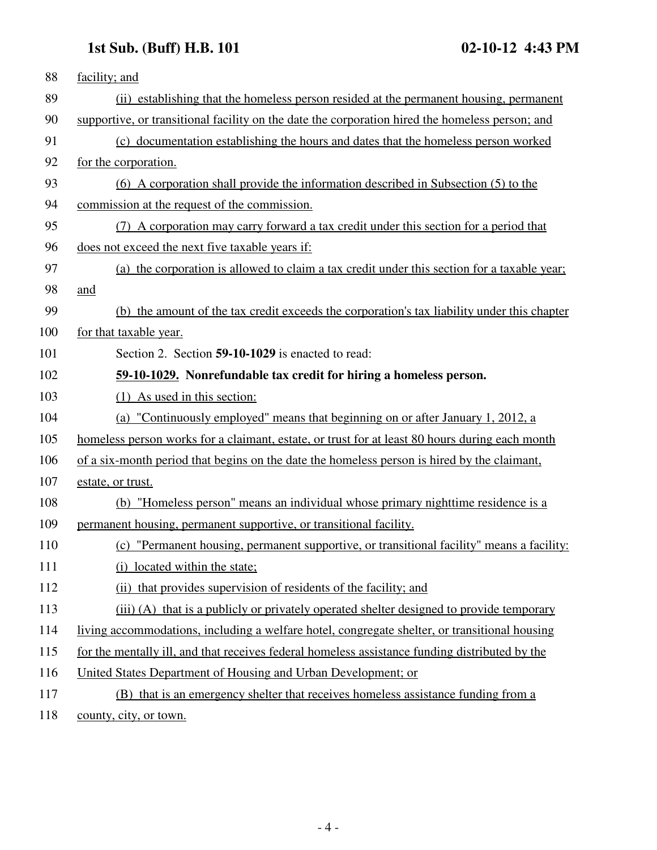## **1st Sub. (Buff) H.B. 101 02-10-12 4:43 PM**

| 88  | facility; and                                                                                   |
|-----|-------------------------------------------------------------------------------------------------|
| 89  | (ii) establishing that the homeless person resided at the permanent housing, permanent          |
| 90  | supportive, or transitional facility on the date the corporation hired the homeless person; and |
| 91  | (c) documentation establishing the hours and dates that the homeless person worked              |
| 92  | for the corporation.                                                                            |
| 93  | (6) A corporation shall provide the information described in Subsection (5) to the              |
| 94  | commission at the request of the commission.                                                    |
| 95  | (7) A corporation may carry forward a tax credit under this section for a period that           |
| 96  | does not exceed the next five taxable years if:                                                 |
| 97  | (a) the corporation is allowed to claim a tax credit under this section for a taxable year;     |
| 98  | and                                                                                             |
| 99  | (b) the amount of the tax credit exceeds the corporation's tax liability under this chapter     |
| 100 | for that taxable year.                                                                          |
| 101 | Section 2. Section 59-10-1029 is enacted to read:                                               |
| 102 | 59-10-1029. Nonrefundable tax credit for hiring a homeless person.                              |
| 103 | (1) As used in this section:                                                                    |
| 104 | (a) "Continuously employed" means that beginning on or after January 1, 2012, a                 |
| 105 | homeless person works for a claimant, estate, or trust for at least 80 hours during each month  |
| 106 | of a six-month period that begins on the date the homeless person is hired by the claimant,     |
| 107 | estate, or trust.                                                                               |
| 108 | (b) "Homeless person" means an individual whose primary nighttime residence is a                |
| 109 | permanent housing, permanent supportive, or transitional facility.                              |
| 110 | (c) "Permanent housing, permanent supportive, or transitional facility" means a facility:       |
| 111 | (i) located within the state;                                                                   |
| 112 | (ii) that provides supervision of residents of the facility; and                                |
| 113 | (iii) (A) that is a publicly or privately operated shelter designed to provide temporary        |
| 114 | living accommodations, including a welfare hotel, congregate shelter, or transitional housing   |
| 115 | for the mentally ill, and that receives federal homeless assistance funding distributed by the  |
| 116 | United States Department of Housing and Urban Development; or                                   |
| 117 | (B) that is an emergency shelter that receives homeless assistance funding from a               |
| 118 | county, city, or town.                                                                          |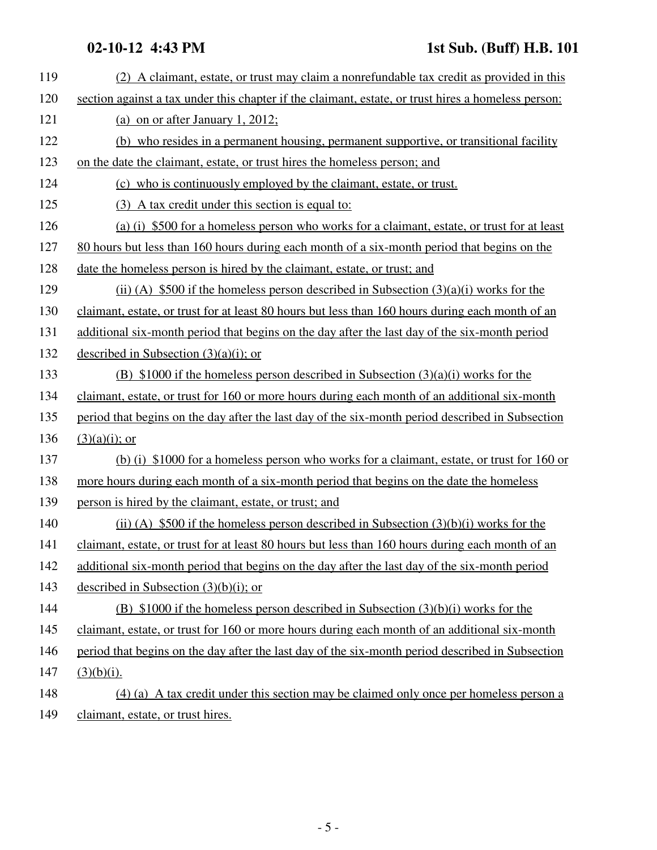| 119 | (2) A claimant, estate, or trust may claim a nonrefundable tax credit as provided in this           |
|-----|-----------------------------------------------------------------------------------------------------|
| 120 | section against a tax under this chapter if the claimant, estate, or trust hires a homeless person: |
| 121 | (a) on or after January 1, 2012;                                                                    |
| 122 | (b) who resides in a permanent housing, permanent supportive, or transitional facility              |
| 123 | on the date the claimant, estate, or trust hires the homeless person; and                           |
| 124 | (c) who is continuously employed by the claimant, estate, or trust.                                 |
| 125 | (3) A tax credit under this section is equal to:                                                    |
| 126 | (a) (i) \$500 for a homeless person who works for a claimant, estate, or trust for at least         |
| 127 | 80 hours but less than 160 hours during each month of a six-month period that begins on the         |
| 128 | date the homeless person is hired by the claimant, estate, or trust; and                            |
| 129 | (ii) (A) \$500 if the homeless person described in Subsection $(3)(a)(i)$ works for the             |
| 130 | claimant, estate, or trust for at least 80 hours but less than 160 hours during each month of an    |
| 131 | additional six-month period that begins on the day after the last day of the six-month period       |
| 132 | described in Subsection $(3)(a)(i)$ ; or                                                            |
| 133 | (B) $$1000$ if the homeless person described in Subsection $(3)(a)(i)$ works for the                |
| 134 | claimant, estate, or trust for 160 or more hours during each month of an additional six-month       |
| 135 | period that begins on the day after the last day of the six-month period described in Subsection    |
| 136 | $(3)(a)(i)$ ; or                                                                                    |
| 137 | (b) (i) \$1000 for a homeless person who works for a claimant, estate, or trust for 160 or          |
| 138 | more hours during each month of a six-month period that begins on the date the homeless             |
| 139 | person is hired by the claimant, estate, or trust; and                                              |
| 140 | (ii) (A) $$500$ if the homeless person described in Subsection $(3)(b)(i)$ works for the            |
| 141 | claimant, estate, or trust for at least 80 hours but less than 160 hours during each month of an    |
| 142 | additional six-month period that begins on the day after the last day of the six-month period       |
| 143 | described in Subsection $(3)(b)(i)$ ; or                                                            |
| 144 | (B) $$1000$ if the homeless person described in Subsection $(3)(b)(i)$ works for the                |
| 145 | claimant, estate, or trust for 160 or more hours during each month of an additional six-month       |
| 146 | period that begins on the day after the last day of the six-month period described in Subsection    |
| 147 | $(3)(b)(i)$ .                                                                                       |
| 148 | (4) (a) A tax credit under this section may be claimed only once per homeless person a              |
| 149 | claimant, estate, or trust hires.                                                                   |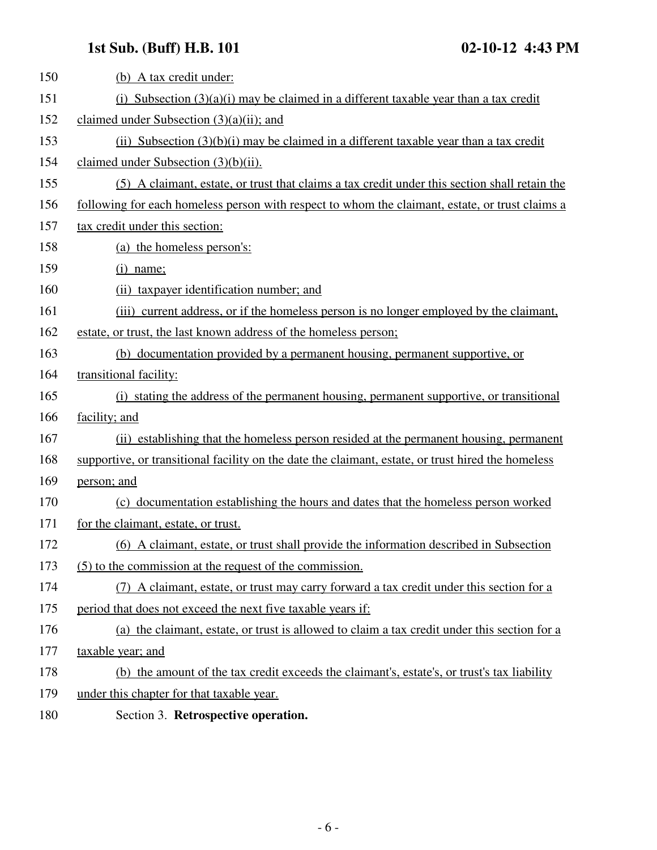## **1st Sub. (Buff) H.B. 101 02-10-12 4:43 PM**

| 150 | (b) A tax credit under:                                                                            |
|-----|----------------------------------------------------------------------------------------------------|
| 151 | (i) Subsection $(3)(a)(i)$ may be claimed in a different taxable year than a tax credit            |
| 152 | claimed under Subsection $(3)(a)(ii)$ ; and                                                        |
| 153 | $(ii)$ Subsection $(3)(b)(i)$ may be claimed in a different taxable year than a tax credit         |
| 154 | claimed under Subsection $(3)(b)(ii)$ .                                                            |
| 155 | (5) A claimant, estate, or trust that claims a tax credit under this section shall retain the      |
| 156 | following for each homeless person with respect to whom the claimant, estate, or trust claims a    |
| 157 | tax credit under this section:                                                                     |
| 158 | (a) the homeless person's:                                                                         |
| 159 | $(i)$ name;                                                                                        |
| 160 | (ii) taxpayer identification number; and                                                           |
| 161 | (iii) current address, or if the homeless person is no longer employed by the claimant,            |
| 162 | estate, or trust, the last known address of the homeless person;                                   |
| 163 | (b) documentation provided by a permanent housing, permanent supportive, or                        |
| 164 | transitional facility:                                                                             |
| 165 | (i) stating the address of the permanent housing, permanent supportive, or transitional            |
| 166 | facility; and                                                                                      |
| 167 | (ii) establishing that the homeless person resided at the permanent housing, permanent             |
| 168 | supportive, or transitional facility on the date the claimant, estate, or trust hired the homeless |
| 169 | person; and                                                                                        |
| 170 | (c) documentation establishing the hours and dates that the homeless person worked                 |
| 171 | for the claimant, estate, or trust.                                                                |
| 172 | (6) A claimant, estate, or trust shall provide the information described in Subsection             |
| 173 | (5) to the commission at the request of the commission.                                            |
| 174 | (7) A claimant, estate, or trust may carry forward a tax credit under this section for a           |
| 175 | period that does not exceed the next five taxable years if:                                        |
| 176 | (a) the claimant, estate, or trust is allowed to claim a tax credit under this section for a       |
| 177 | taxable year; and                                                                                  |
| 178 | (b) the amount of the tax credit exceeds the claimant's, estate's, or trust's tax liability        |
| 179 | under this chapter for that taxable year.                                                          |
| 180 | Section 3. Retrospective operation.                                                                |